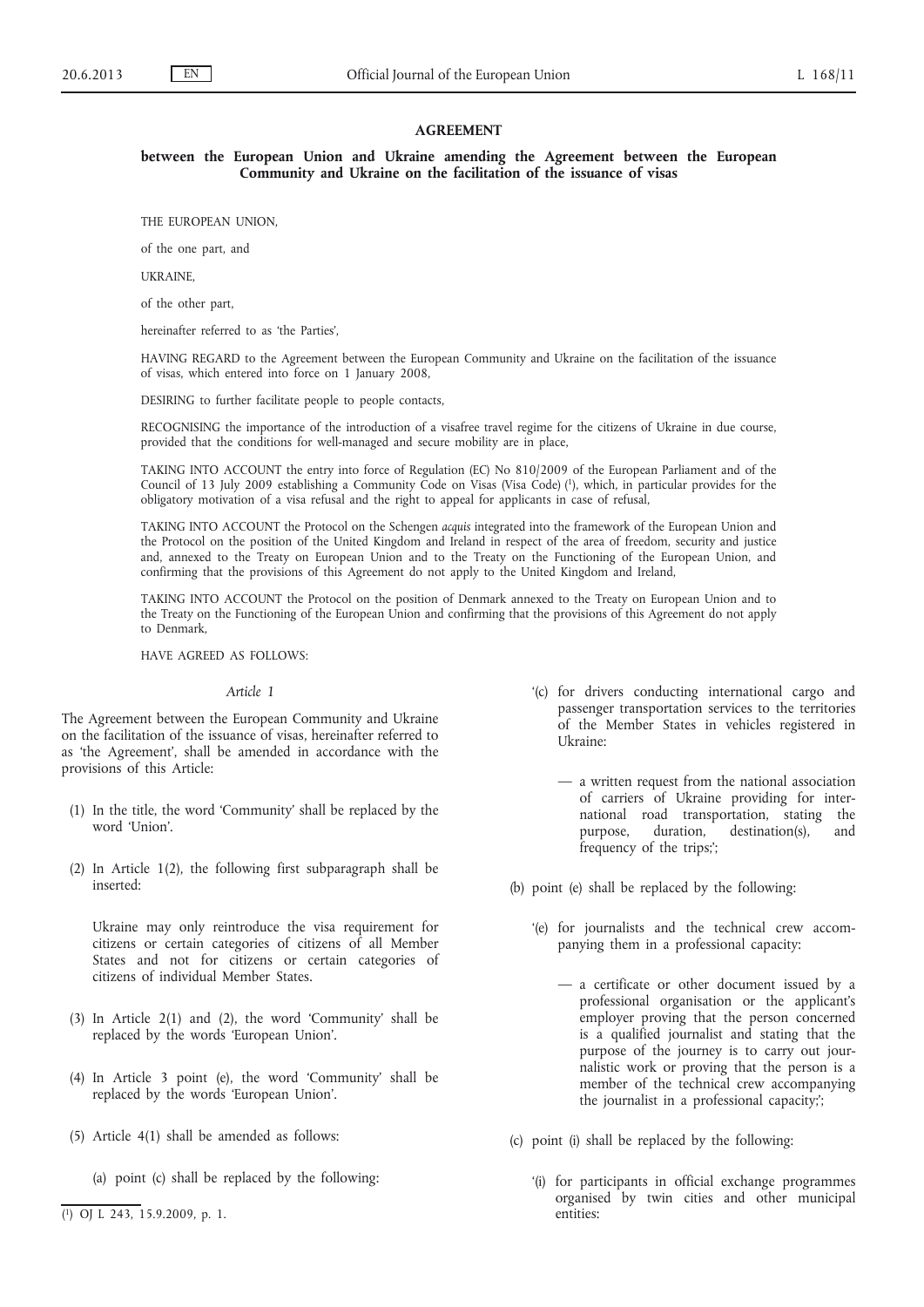### **AGREEMENT**

**between the European Union and Ukraine amending the Agreement between the European Community and Ukraine on the facilitation of the issuance of visas**

THE EUROPEAN UNION,

of the one part, and

UKRAINE,

of the other part,

hereinafter referred to as 'the Parties',

HAVING REGARD to the Agreement between the European Community and Ukraine on the facilitation of the issuance of visas, which entered into force on 1 January 2008,

DESIRING to further facilitate people to people contacts,

RECOGNISING the importance of the introduction of a visafree travel regime for the citizens of Ukraine in due course, provided that the conditions for well-managed and secure mobility are in place,

TAKING INTO ACCOUNT the entry into force of Regulation (EC) No 810/2009 of the European Parliament and of the Council of 13 July 2009 establishing a Community Code on Visas (Visa Code) (1), which, in particular provides for the obligatory motivation of a visa refusal and the right to appeal for applicants in case of refusal,

TAKING INTO ACCOUNT the Protocol on the Schengen *acquis* integrated into the framework of the European Union and the Protocol on the position of the United Kingdom and Ireland in respect of the area of freedom, security and justice and, annexed to the Treaty on European Union and to the Treaty on the Functioning of the European Union, and confirming that the provisions of this Agreement do not apply to the United Kingdom and Ireland,

TAKING INTO ACCOUNT the Protocol on the position of Denmark annexed to the Treaty on European Union and to the Treaty on the Functioning of the European Union and confirming that the provisions of this Agreement do not apply to Denmark,

HAVE AGREED AS FOLLOWS:

#### *Article 1*

The Agreement between the European Community and Ukraine on the facilitation of the issuance of visas, hereinafter referred to as 'the Agreement', shall be amended in accordance with the provisions of this Article:

- (1) In the title, the word 'Community' shall be replaced by the word 'Union'.
- (2) In Article 1(2), the following first subparagraph shall be inserted:

Ukraine may only reintroduce the visa requirement for citizens or certain categories of citizens of all Member States and not for citizens or certain categories of citizens of individual Member States.

- (3) In Article 2(1) and (2), the word 'Community' shall be replaced by the words 'European Union'.
- (4) In Article 3 point (e), the word 'Community' shall be replaced by the words 'European Union'.
- (5) Article 4(1) shall be amended as follows:
	- (a) point (c) shall be replaced by the following:
- ( 1) OJ L 243, 15.9.2009, p. 1.
- '(c) for drivers conducting international cargo and passenger transportation services to the territories of the Member States in vehicles registered in Ukraine:
	- a written request from the national association of carriers of Ukraine providing for international road transportation, stating the purpose, duration, destination(s), and frequency of the trips;';

(b) point (e) shall be replaced by the following:

- '(e) for journalists and the technical crew accompanying them in a professional capacity:
	- a certificate or other document issued by a professional organisation or the applicant's employer proving that the person concerned is a qualified journalist and stating that the purpose of the journey is to carry out journalistic work or proving that the person is a member of the technical crew accompanying the journalist in a professional capacity;';
- (c) point (i) shall be replaced by the following:
	- '(i) for participants in official exchange programmes organised by twin cities and other municipal entities: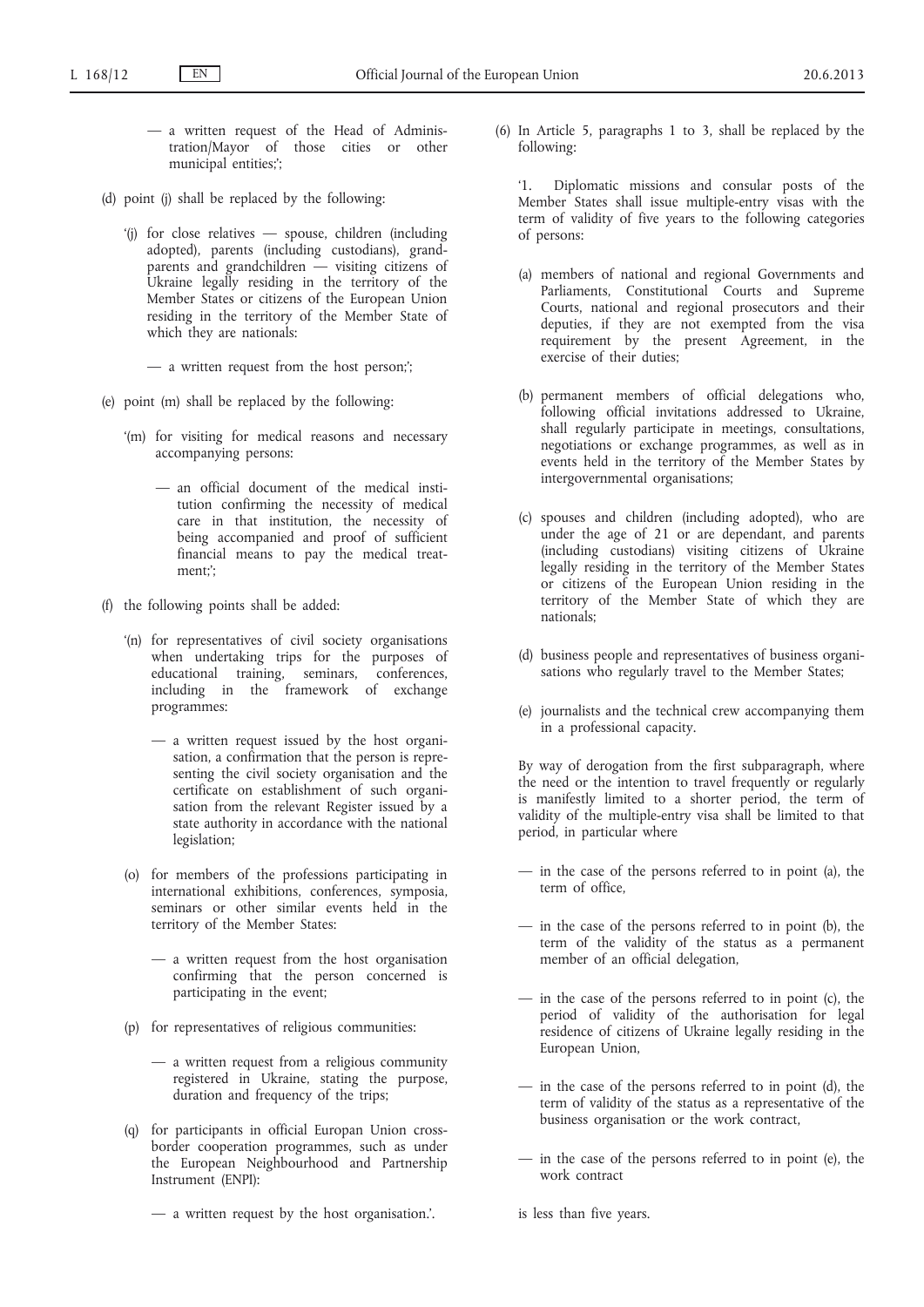- a written request of the Head of Administration/Mayor of those cities or other municipal entities;';
- (d) point (j) shall be replaced by the following:
	- '(j) for close relatives spouse, children (including adopted), parents (including custodians), grandparents and grandchildren — visiting citizens of Ukraine legally residing in the territory of the Member States or citizens of the European Union residing in the territory of the Member State of which they are nationals:

— a written request from the host person;';

- (e) point (m) shall be replaced by the following:
	- '(m) for visiting for medical reasons and necessary accompanying persons:
		- an official document of the medical institution confirming the necessity of medical care in that institution, the necessity of being accompanied and proof of sufficient financial means to pay the medical treatment;';
- (f) the following points shall be added:
	- '(n) for representatives of civil society organisations when undertaking trips for the purposes of educational training, seminars, conferences, including in the framework of exchange programmes:
		- a written request issued by the host organisation, a confirmation that the person is representing the civil society organisation and the certificate on establishment of such organisation from the relevant Register issued by a state authority in accordance with the national legislation;
	- (o) for members of the professions participating in international exhibitions, conferences, symposia, seminars or other similar events held in the territory of the Member States:
		- a written request from the host organisation confirming that the person concerned is participating in the event;
	- (p) for representatives of religious communities:
		- a written request from a religious community registered in Ukraine, stating the purpose, duration and frequency of the trips;
	- (q) for participants in official Europan Union crossborder cooperation programmes, such as under the European Neighbourhood and Partnership Instrument (ENPI):
		- a written request by the host organisation.'.

(6) In Article 5, paragraphs 1 to 3, shall be replaced by the following:

'1. Diplomatic missions and consular posts of the Member States shall issue multiple-entry visas with the term of validity of five years to the following categories of persons:

- (a) members of national and regional Governments and Parliaments, Constitutional Courts and Supreme Courts, national and regional prosecutors and their deputies, if they are not exempted from the visa requirement by the present Agreement, in the exercise of their duties;
- (b) permanent members of official delegations who, following official invitations addressed to Ukraine, shall regularly participate in meetings, consultations, negotiations or exchange programmes, as well as in events held in the territory of the Member States by intergovernmental organisations;
- (c) spouses and children (including adopted), who are under the age of 21 or are dependant, and parents (including custodians) visiting citizens of Ukraine legally residing in the territory of the Member States or citizens of the European Union residing in the territory of the Member State of which they are nationals;
- (d) business people and representatives of business organisations who regularly travel to the Member States;
- (e) journalists and the technical crew accompanying them in a professional capacity.

By way of derogation from the first subparagraph, where the need or the intention to travel frequently or regularly is manifestly limited to a shorter period, the term of validity of the multiple-entry visa shall be limited to that period, in particular where

- in the case of the persons referred to in point (a), the term of office,
- in the case of the persons referred to in point (b), the term of the validity of the status as a permanent member of an official delegation,
- $-$  in the case of the persons referred to in point (c), the period of validity of the authorisation for legal residence of citizens of Ukraine legally residing in the European Union,
- in the case of the persons referred to in point (d), the term of validity of the status as a representative of the business organisation or the work contract,
- in the case of the persons referred to in point (e), the work contract

is less than five years.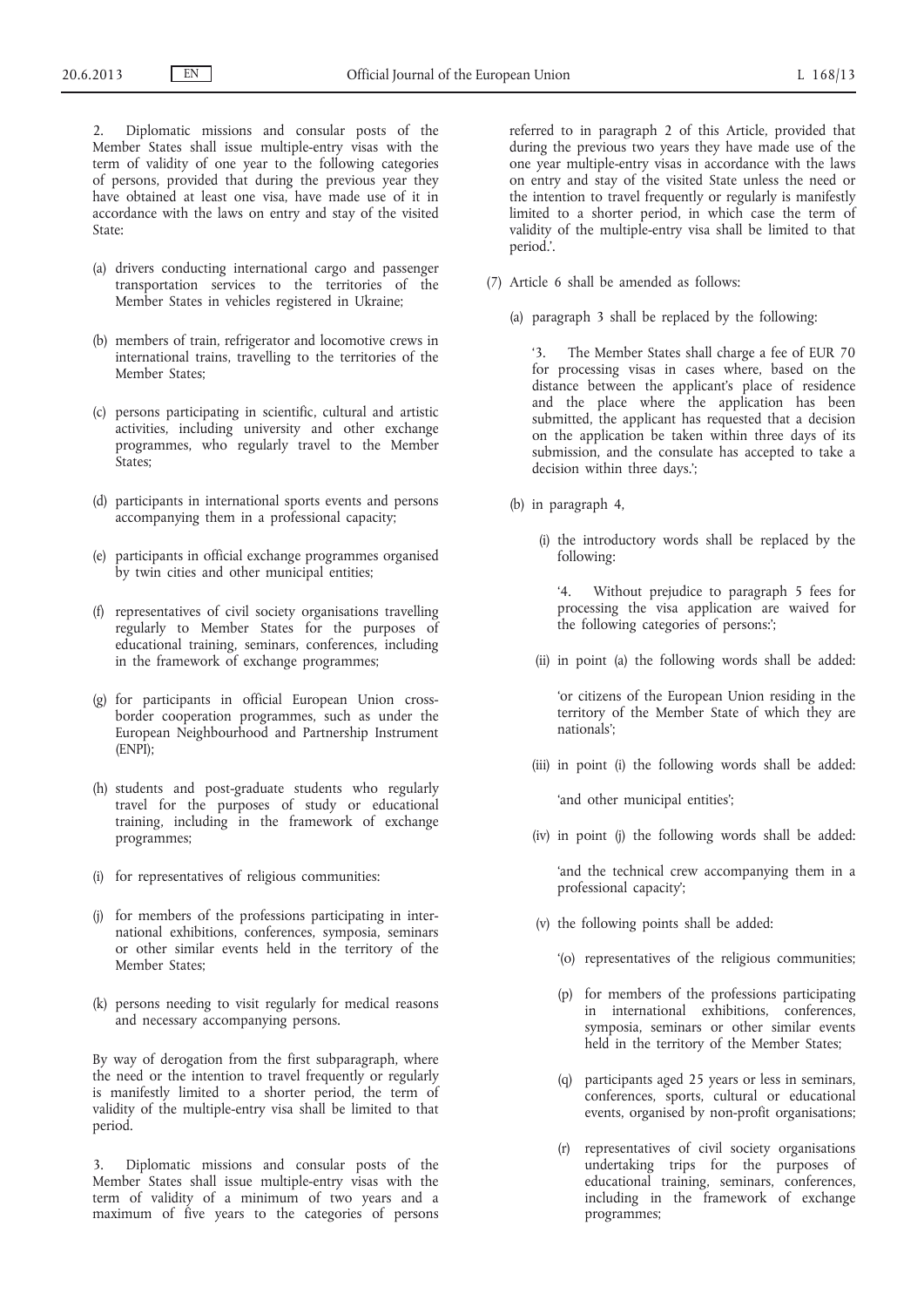2. Diplomatic missions and consular posts of the Member States shall issue multiple-entry visas with the term of validity of one year to the following categories of persons, provided that during the previous year they have obtained at least one visa, have made use of it in accordance with the laws on entry and stay of the visited State:

- (a) drivers conducting international cargo and passenger transportation services to the territories of the Member States in vehicles registered in Ukraine;
- (b) members of train, refrigerator and locomotive crews in international trains, travelling to the territories of the Member States;
- (c) persons participating in scientific, cultural and artistic activities, including university and other exchange programmes, who regularly travel to the Member States;
- (d) participants in international sports events and persons accompanying them in a professional capacity;
- (e) participants in official exchange programmes organised by twin cities and other municipal entities;
- (f) representatives of civil society organisations travelling regularly to Member States for the purposes of educational training, seminars, conferences, including in the framework of exchange programmes;
- (g) for participants in official European Union crossborder cooperation programmes, such as under the European Neighbourhood and Partnership Instrument (ENPI);
- (h) students and post-graduate students who regularly travel for the purposes of study or educational training, including in the framework of exchange programmes;
- (i) for representatives of religious communities:
- (j) for members of the professions participating in international exhibitions, conferences, symposia, seminars or other similar events held in the territory of the Member States;
- (k) persons needing to visit regularly for medical reasons and necessary accompanying persons.

By way of derogation from the first subparagraph, where the need or the intention to travel frequently or regularly is manifestly limited to a shorter period, the term of validity of the multiple-entry visa shall be limited to that period.

Diplomatic missions and consular posts of the Member States shall issue multiple-entry visas with the term of validity of a minimum of two years and a maximum of five years to the categories of persons referred to in paragraph 2 of this Article, provided that during the previous two years they have made use of the one year multiple-entry visas in accordance with the laws on entry and stay of the visited State unless the need or the intention to travel frequently or regularly is manifestly limited to a shorter period, in which case the term of validity of the multiple-entry visa shall be limited to that period.'.

- (7) Article 6 shall be amended as follows:
	- (a) paragraph 3 shall be replaced by the following:

'3. The Member States shall charge a fee of EUR 70 for processing visas in cases where, based on the distance between the applicant's place of residence and the place where the application has been submitted, the applicant has requested that a decision on the application be taken within three days of its submission, and the consulate has accepted to take a decision within three days.';

- (b) in paragraph 4,
	- (i) the introductory words shall be replaced by the following:

'4. Without prejudice to paragraph 5 fees for processing the visa application are waived for the following categories of persons:';

(ii) in point (a) the following words shall be added:

'or citizens of the European Union residing in the territory of the Member State of which they are nationals';

(iii) in point (i) the following words shall be added:

'and other municipal entities';

(iv) in point (j) the following words shall be added:

'and the technical crew accompanying them in a professional capacity';

- (v) the following points shall be added:
	- '(o) representatives of the religious communities;
	- (p) for members of the professions participating in international exhibitions, conferences, symposia, seminars or other similar events held in the territory of the Member States;
	- (q) participants aged 25 years or less in seminars, conferences, sports, cultural or educational events, organised by non-profit organisations;
	- (r) representatives of civil society organisations undertaking trips for the purposes of educational training, seminars, conferences, including in the framework of exchange programmes;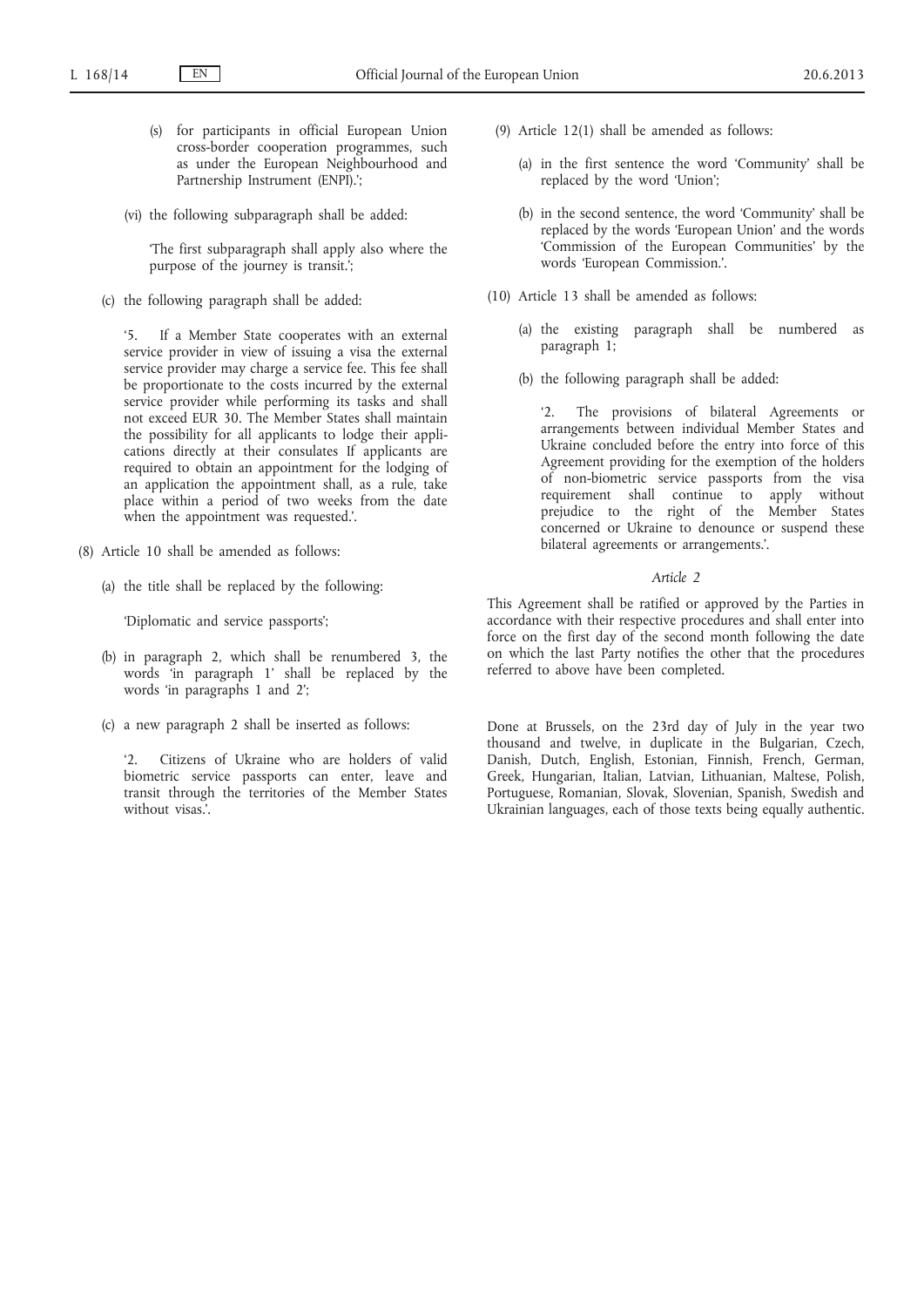- (s) for participants in official European Union cross-border cooperation programmes, such as under the European Neighbourhood and Partnership Instrument (ENPI).';
- (vi) the following subparagraph shall be added:

'The first subparagraph shall apply also where the purpose of the journey is transit.';

(c) the following paragraph shall be added:

'5. If a Member State cooperates with an external service provider in view of issuing a visa the external service provider may charge a service fee. This fee shall be proportionate to the costs incurred by the external service provider while performing its tasks and shall not exceed EUR 30. The Member States shall maintain the possibility for all applicants to lodge their applications directly at their consulates If applicants are required to obtain an appointment for the lodging of an application the appointment shall, as a rule, take place within a period of two weeks from the date when the appointment was requested.'.

- (8) Article 10 shall be amended as follows:
	- (a) the title shall be replaced by the following:

'Diplomatic and service passports';

- (b) in paragraph 2, which shall be renumbered 3, the words 'in paragraph 1' shall be replaced by the words 'in paragraphs 1 and 2';
- (c) a new paragraph 2 shall be inserted as follows:

Citizens of Ukraine who are holders of valid biometric service passports can enter, leave and transit through the territories of the Member States without visas.'.

- (9) Article 12(1) shall be amended as follows:
	- (a) in the first sentence the word 'Community' shall be replaced by the word 'Union';
	- (b) in the second sentence, the word 'Community' shall be replaced by the words 'European Union' and the words 'Commission of the European Communities' by the words 'European Commission.'.
- (10) Article 13 shall be amended as follows:
	- (a) the existing paragraph shall be numbered as paragraph 1;
	- (b) the following paragraph shall be added:

'2. The provisions of bilateral Agreements or arrangements between individual Member States and Ukraine concluded before the entry into force of this Agreement providing for the exemption of the holders of non-biometric service passports from the visa requirement shall continue to apply without prejudice to the right of the Member States concerned or Ukraine to denounce or suspend these bilateral agreements or arrangements.'.

### *Article 2*

This Agreement shall be ratified or approved by the Parties in accordance with their respective procedures and shall enter into force on the first day of the second month following the date on which the last Party notifies the other that the procedures referred to above have been completed.

Done at Brussels, on the 23rd day of July in the year two thousand and twelve, in duplicate in the Bulgarian, Czech, Danish, Dutch, English, Estonian, Finnish, French, German, Greek, Hungarian, Italian, Latvian, Lithuanian, Maltese, Polish, Portuguese, Romanian, Slovak, Slovenian, Spanish, Swedish and Ukrainian languages, each of those texts being equally authentic.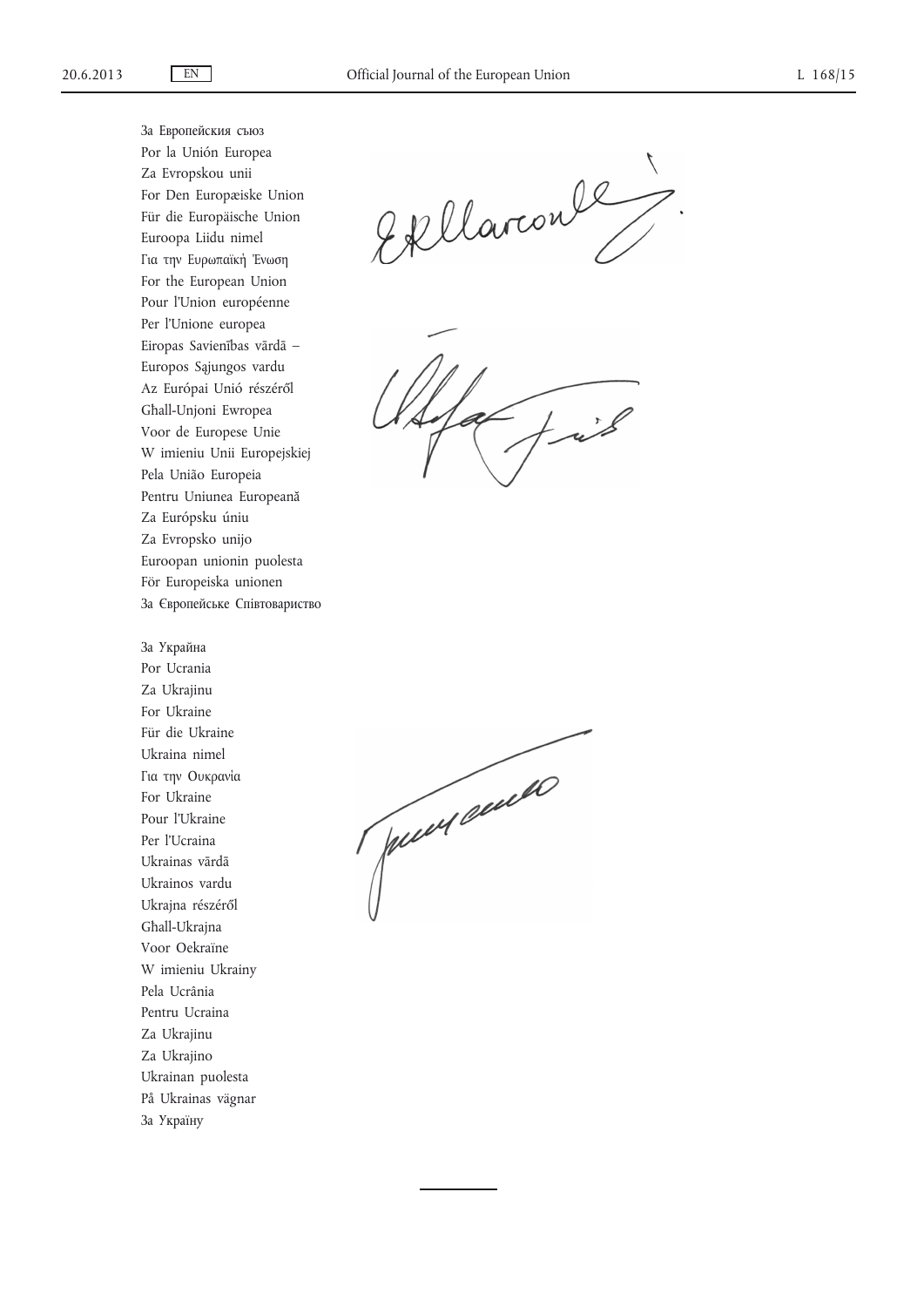За Европейския съюз Por la Unión Europea Za Evropskou unii For Den Europæiske Union Für die Europäische Union Euroopa Liidu nimel Για την Ευρωπαϊκή Ένωση For the European Union Pour l'Union européenne Per l'Unione europea Eiropas Savienības vārdā – Europos Sąjungos vardu Az Európai Unió részéről Għall-Unjoni Ewropea Voor de Europese Unie W imieniu Unii Europejskiej Pela União Europeia Pentru Uniunea Europeană Za Európsku úniu Za Evropsko unijo Euroopan unionin puolesta För Europeiska unionen За Європейське Спiвтовариство

За Украйна

Por Ucrania Za Ukrajinu For Ukraine Für die Ukraine Ukraina nimel Για την Ουκρανία For Ukraine Pour l'Ukraine Per l'Ucraina Ukrainas vārdā Ukrainos vardu Ukrajna részéről Għall-Ukrajna Voor Oekraïne W imieniu Ukrainy Pela Ucrânia Pentru Ucraina Za Ukrajinu Za Ukrajino Ukrainan puolesta På Ukrainas vägnar За Украïнy

Ekllaronle,

 $\tau$ 

Juin cause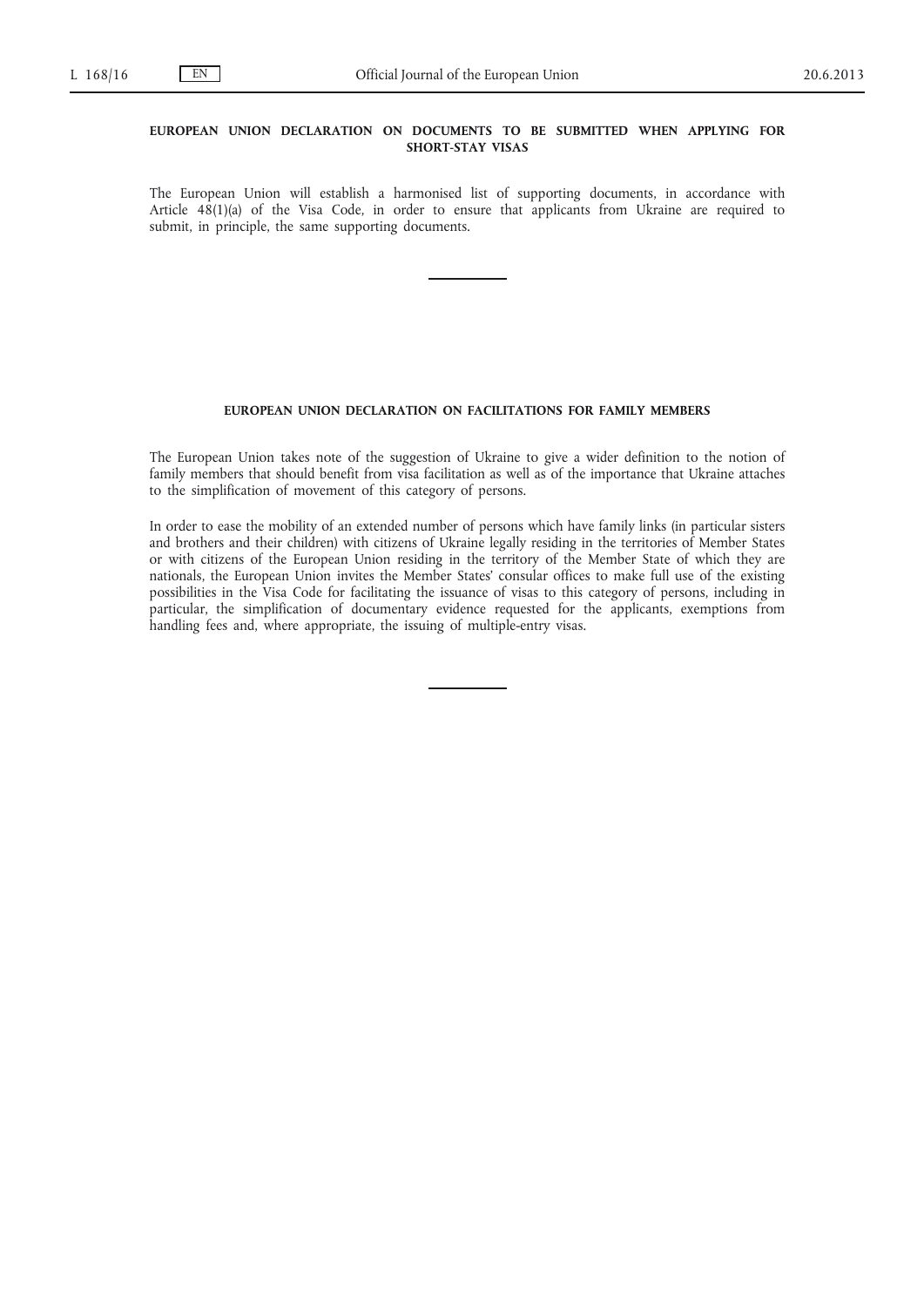# **EUROPEAN UNION DECLARATION ON DOCUMENTS TO BE SUBMITTED WHEN APPLYING FOR SHORT-STAY VISAS**

The European Union will establish a harmonised list of supporting documents, in accordance with Article 48(1)(a) of the Visa Code, in order to ensure that applicants from Ukraine are required to submit, in principle, the same supporting documents.

### **EUROPEAN UNION DECLARATION ON FACILITATIONS FOR FAMILY MEMBERS**

The European Union takes note of the suggestion of Ukraine to give a wider definition to the notion of family members that should benefit from visa facilitation as well as of the importance that Ukraine attaches to the simplification of movement of this category of persons.

In order to ease the mobility of an extended number of persons which have family links (in particular sisters and brothers and their children) with citizens of Ukraine legally residing in the territories of Member States or with citizens of the European Union residing in the territory of the Member State of which they are nationals, the European Union invites the Member States' consular offices to make full use of the existing possibilities in the Visa Code for facilitating the issuance of visas to this category of persons, including in particular, the simplification of documentary evidence requested for the applicants, exemptions from handling fees and, where appropriate, the issuing of multiple-entry visas.